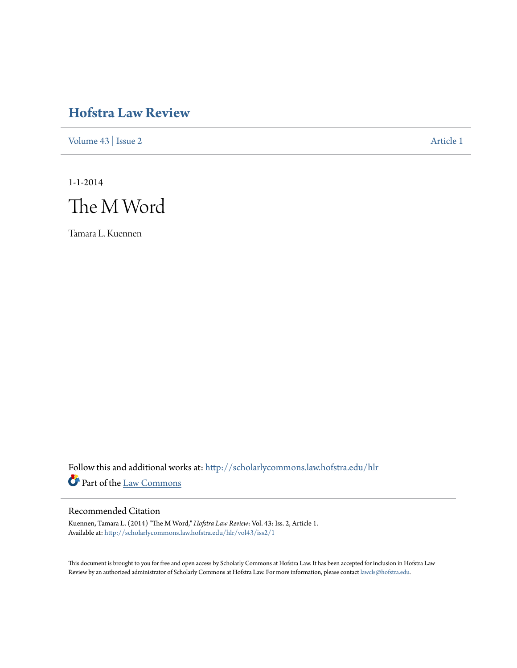# **[Hofstra Law Review](http://scholarlycommons.law.hofstra.edu/hlr?utm_source=scholarlycommons.law.hofstra.edu%2Fhlr%2Fvol43%2Fiss2%2F1&utm_medium=PDF&utm_campaign=PDFCoverPages)**

[Volume 43](http://scholarlycommons.law.hofstra.edu/hlr/vol43?utm_source=scholarlycommons.law.hofstra.edu%2Fhlr%2Fvol43%2Fiss2%2F1&utm_medium=PDF&utm_campaign=PDFCoverPages) | [Issue 2](http://scholarlycommons.law.hofstra.edu/hlr/vol43/iss2?utm_source=scholarlycommons.law.hofstra.edu%2Fhlr%2Fvol43%2Fiss2%2F1&utm_medium=PDF&utm_campaign=PDFCoverPages) [Article 1](http://scholarlycommons.law.hofstra.edu/hlr/vol43/iss2/1?utm_source=scholarlycommons.law.hofstra.edu%2Fhlr%2Fvol43%2Fiss2%2F1&utm_medium=PDF&utm_campaign=PDFCoverPages)

1-1-2014



Tamara L. Kuennen

Follow this and additional works at: [http://scholarlycommons.law.hofstra.edu/hlr](http://scholarlycommons.law.hofstra.edu/hlr?utm_source=scholarlycommons.law.hofstra.edu%2Fhlr%2Fvol43%2Fiss2%2F1&utm_medium=PDF&utm_campaign=PDFCoverPages) Part of the [Law Commons](http://network.bepress.com/hgg/discipline/578?utm_source=scholarlycommons.law.hofstra.edu%2Fhlr%2Fvol43%2Fiss2%2F1&utm_medium=PDF&utm_campaign=PDFCoverPages)

## Recommended Citation

Kuennen, Tamara L. (2014) "The M Word," *Hofstra Law Review*: Vol. 43: Iss. 2, Article 1. Available at: [http://scholarlycommons.law.hofstra.edu/hlr/vol43/iss2/1](http://scholarlycommons.law.hofstra.edu/hlr/vol43/iss2/1?utm_source=scholarlycommons.law.hofstra.edu%2Fhlr%2Fvol43%2Fiss2%2F1&utm_medium=PDF&utm_campaign=PDFCoverPages)

This document is brought to you for free and open access by Scholarly Commons at Hofstra Law. It has been accepted for inclusion in Hofstra Law Review by an authorized administrator of Scholarly Commons at Hofstra Law. For more information, please contact [lawcls@hofstra.edu](mailto:lawcls@hofstra.edu).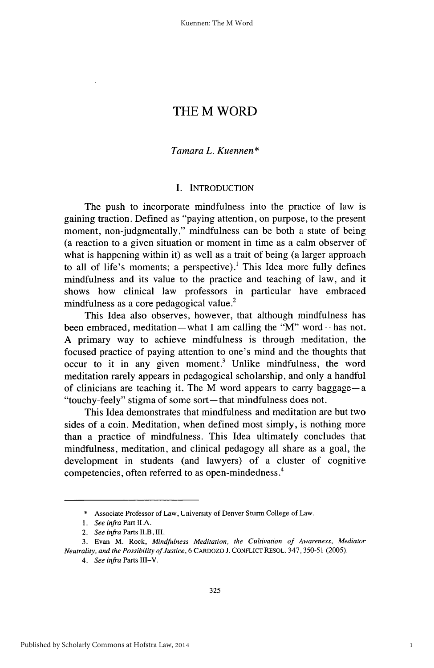## THE M WORD

## *Tamara L. Kuennen\**

## **I. INTRODUCTION**

The push to incorporate mindfulness into the practice of law is gaining traction. Defined as "paying attention, on purpose, to the present moment, non-judgmentally," mindfulness can be both a state of being (a reaction to a given situation or moment in time as a calm observer of what is happening within it) as well as a trait of being (a larger approach to all of life's moments; a perspective).<sup>1</sup> This Idea more fully defines mindfulness and its value to the practice and teaching of law, and it shows how clinical law professors in particular have embraced mindfulness as a core pedagogical value.<sup>2</sup>

This Idea also observes, however, that although mindfulness has been embraced, meditation-what I am calling the "M" word-has not. A primary way to achieve mindfulness is through meditation, the focused practice of paying attention to one's mind and the thoughts that occur to it in any given moment.' Unlike mindfulness, the word meditation rarely appears in pedagogical scholarship, and only a handful of clinicians are teaching it. The M word appears to carry baggage- a "touchy-feely" stigma of some sort-that mindfulness does not.

This Idea demonstrates that mindfulness and meditation are but two sides of a coin. Meditation, when defined most simply, is nothing more than a practice of mindfulness. This Idea ultimately concludes that mindfulness, meditation, and clinical pedagogy all share as a goal, the development in students (and lawyers) of a cluster of cognitive **4** competencies, often referred to as open-mindedness.

<sup>\*</sup> Associate Professor of Law, University of Denver Sturm College of Law.

*<sup>1.</sup> See infra* Part **ILA.**

<sup>2.</sup> See infra Parts II.B, III.

<sup>3.</sup> Evan M. Rock, *Mindfulness Meditation, the Cultivation of Awareness, Mediator Neutrality, and the Possibility of Justice,* 6 CARDOZO **J.** CONFLICT RESOL. 347,350-51 (2005).

*<sup>4.</sup> See infra* Parts III-V.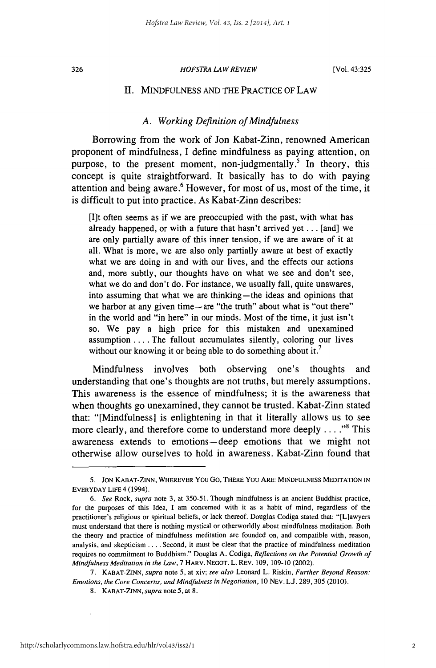326

#### *HOFSTRA LAW REVIEW*

#### II. MINDFULNESS AND THE PRACTICE OF LAW

## *A. Working Definition of Mindfulness*

Borrowing from the work of Jon Kabat-Zinn, renowned American proponent of mindfulness, I define mindfulness as paying attention, on purpose, to the present moment, non-judgmentally.<sup>5</sup> In theory, this concept is quite straightforward. It basically has to do with paying attention and being aware.<sup>6</sup> However, for most of us, most of the time, it is difficult to put into practice. As Kabat-Zinn describes:

[I]t often seems as if we are preoccupied with the past, with what has already happened, or with a future that hasn't arrived yet ... [and] we are only partially aware of this inner tension, if we are aware of it at all. What is more, we are also only partially aware at best of exactly what we are doing in and with our lives, and the effects our actions and, more subtly, our thoughts have on what we see and don't see, what we do and don't do. For instance, we usually fall, quite unawares, into assuming that what we are thinking-the ideas and opinions that we harbor at any given time-are "the truth" about what is "out there" in the world and "in here" in our minds. Most of the time, it just isn't so. We pay a high price for this mistaken and unexamined assumption .... The fallout accumulates silently, coloring our lives without our knowing it or being able to do something about it.<sup>7</sup>

Mindfulness involves both observing one's thoughts and understanding that one's thoughts are not truths, but merely assumptions. This awareness is the essence of mindfulness; it is the awareness that when thoughts go unexamined, they cannot be trusted. Kabat-Zinn stated that: "[Mindfulness] is enlightening in that it literally allows us to see more clearly, and therefore come to understand more deeply . . . .<sup>8</sup> This awareness extends to emotions-deep emotions that we might not otherwise allow ourselves to hold in awareness. Kabat-Zinn found that

**<sup>5.</sup> JON** KABAT-ZINN, WHEREVER You Go, THERE You ARE: MINDFULNESS MEDITATION IN EVERYDAY LIFE 4 (1994).

*<sup>6.</sup> See* Rock, *supra* note 3, at 350-51. Though mindfulness is an ancient Buddhist practice, for the purposes of this Idea, I am concerned with it as a habit of mind, regardless of the practitioner's religious or spiritual beliefs, or lack thereof. Douglas Codiga stated that: "[L]awyers must understand that there is nothing mystical or otherworldly about mindfulness meditation. Both the theory and practice of mindfulness meditation are founded on, and compatible with, reason, analysis, and skepticism .... Second, it must be clear that the practice of mindfulness meditation requires no commitment to Buddhism." Douglas A. Codiga, *Reflections on the Potential Growth of Mindfulness Meditation in the Law,* 7 HARV. NEGOT. L. REV. 109, 109-10 (2002).

<sup>7.</sup> KABAT-ZINN, *supra* note 5, at xiv; *see also* Leonard L. Riskin, *Further Beyond Reason:* Emotions, the Core Concerns, and Mindfulness in Negotiation, 10 NEV. **LJ.** 289, 305 (2010).

<sup>8.</sup> KABAT-ZINN, supra note 5, at 8.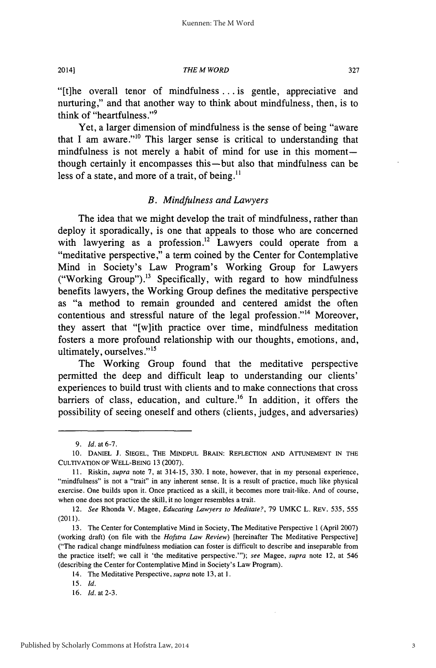*THE M WORD*

"[t]he overall tenor of mindfulness ... is gentle, appreciative and nurturing," and that another way to think about mindfulness, then, is to think of "heartfulness."<sup>9</sup>

Yet, a larger dimension of mindfulness is the sense of being "aware that I am aware."1° This larger sense is critical to understanding that mindfulness is not merely a habit of mind for use in this momentthough certainly it encompasses this-but also that mindfulness can be less of a state, and more of a trait, of being. $^{11}$ 

#### *B. Mindfulness and Lawyers*

The idea that we might develop the trait of mindfulness, rather than deploy it sporadically, is one that appeals to those who are concerned with lawyering as a profession.<sup>12</sup> Lawyers could operate from a "meditative perspective," a term coined by the Center for Contemplative Mind in Society's Law Program's Working Group for Lawyers ("Working Group").<sup>13</sup> Specifically, with regard to how mindfulness benefits lawyers, the Working Group defines the meditative perspective as "a method to remain grounded and centered amidst the often contentious and stressful nature of the legal profession."<sup>14</sup> Moreover, they assert that "[w]ith practice over time, mindfulness meditation fosters a more profound relationship with our thoughts, emotions, and, ultimately, ourselves."15

The Working Group found that the meditative perspective permitted the deep and difficult leap to understanding our clients' experiences to build trust with clients and to make connections that cross barriers of class, education, and culture.<sup>16</sup> In addition, it offers the possibility of seeing oneself and others (clients, judges, and adversaries)

2014]

*<sup>9.</sup> Id.* at 6-7.

<sup>10.</sup> DANIEL **J.** SIEGEL, THE MINDFUL BRAIN: REFLECTION AND ATTUNEMENT IN THE CULTIVATION OF WELL-BEING 13 (2007).

<sup>11.</sup> Riskin, *supra* note 7, at 314-15, 330. I note, however, that in my personal experience, "mindfulness" is not a "trait" in any inherent sense. It is a result of practice, much like physical exercise. One builds upon it. Once practiced as a skill, it becomes more trait-like. And of course, when one does not practice the skill, it no longer resembles a trait.

<sup>12.</sup> *See* Rhonda V. Magee, *Educating Lawyers to Meditate?,* 79 UMKC L. REV. 535, 555 (2011).

<sup>13.</sup> The Center for Contemplative Mind in Society, The Meditative Perspective 1 (April 2007) (working draft) (on file with the *Hofstra Law Review)* [hereinafter The Meditative Perspective] ("The radical change mindfulness mediation can foster is difficult to describe and inseparable from the practice itself; we call it 'the meditative perspective."'); *see* Magee, *supra* note 12, at 546 (describing the Center for Contemplative Mind in Society's Law Program).

<sup>14.</sup> The Meditative Perspective, *supra* note 13, at 1.

<sup>15.</sup> *Id.*

<sup>16.</sup> *Id.* at 2-3.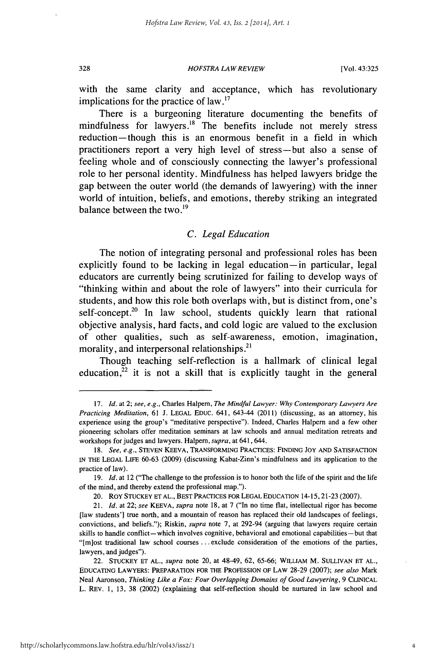*HOFSTRA LAW REVIEW* **328** [Vol. **43:325**

with the same clarity and acceptance, which has revolutionary implications for the practice of law.<sup>17</sup>

There is a burgeoning literature documenting the benefits of mindfulness for lawyers. $18$  The benefits include not merely stress reduction—though this is an enormous benefit in a field in which practitioners report a very high level of stress-but also a sense of feeling whole and of consciously connecting the lawyer's professional role to her personal identity. Mindfulness has helped lawyers bridge the gap between the outer world (the demands of lawyering) with the inner world of intuition, beliefs, and emotions, thereby striking an integrated balance between the two. $^{19}$ 

## *C. Legal Education*

The notion of integrating personal and professional roles has been explicitly found to be lacking in legal education-in particular, legal educators are currently being scrutinized for failing to develop ways of "thinking within and about the role of lawyers" into their curricula for students, and how this role both overlaps with, but is distinct from, one's self-concept.<sup>20</sup> In law school, students quickly learn that rational objective analysis, hard facts, and cold logic are valued to the exclusion of other qualities, such as self-awareness, emotion, imagination, morality, and interpersonal relationships.<sup>21</sup>

Though teaching self-reflection is a hallmark of clinical legal education, $22$  it is not a skill that is explicitly taught in the general

**<sup>17.</sup>** *Id.* at 2; *see, e.g.,* Charles Halpem, *The Mindful Lawyer: Why Contemporary Lawyers Are Practicing Meditation,* **61 J. LEGAL EDUC.** 641, 643-44 (2011) (discussing, as an attorney, his experience using the group's "meditative perspective"). Indeed, Charles Halpern and a few other pioneering scholars offer meditation seminars at law schools and annual meditation retreats and workshops for judges and lawyers. Halpern, *supra*, at 641, 644.

**<sup>18.</sup>** *See, e.g.,* **STEVEN KEEVA, TRANSFORMING PRACTICES: FINDING JOY AND SATISFACTION IN THE LEGAL** LIFE **60-63 (2009)** (discussing Kabat-Zinn's mindfulness and its application to the practice of law).

**<sup>19.</sup>** *Id.* at 12 ("The challenge to the profession is to honor both the life of the spirit and the life of the mind, and thereby extend the professional map.").

<sup>20.</sup> ROY **STUCKEY ET AL., BEST** PRACTICES FOR **LEGAL EDUCATION** 14-15,21-23 **(2007).**

<sup>21.</sup> *Id.* at 22; *see* KEEVA, *supra* note **18,** at **7** ("In no time **flat,** intellectual rigor has become [law students'] true north, and a mountain of reason has replaced their old landscapes of feelings, convictions, and beliefs."); Riskin, *supra* note **7,** at 292-94 (arguing that lawyers require certain skills to handle conflict-which involves cognitive, behavioral and emotional capabilities-but that "[m]ost traditional law school courses **...** exclude consideration of the emotions of the parties, lawyers, and judges").

<sup>22.</sup> **STUCKEY ET AL.,** *supra* note 20, at 48-49, **62, 65-66; WILLIAM** M. SULLIVAN **ET AL., EDUCATING** LAWYERS: **PREPARATION** FOR **THE PROFESSION** OF **LAW 28-29 (2007);** *see also* Mark Neal Aaronson, *Thinking Like a Fox: Four Overlapping Domains of Good Lawyering,* **9** CLINICAL L. REV. **1, 13, 38** (2002) (explaining that self-reflection should be nurtured in law school and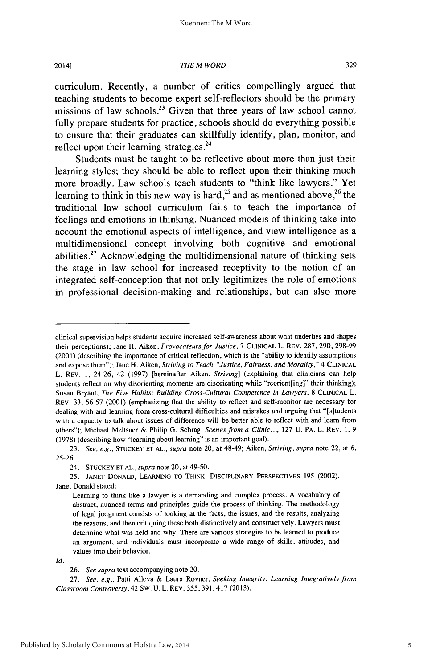Published by Scholarly Commons at Hofstra Law, 2014

#### 2014]

#### *THE M WORD*

curriculum. Recently, a number of critics compellingly argued that teaching students to become expert self-reflectors should be the primary missions of law schools.<sup>23</sup> Given that three years of law school cannot fully prepare students for practice, schools should do everything possible to ensure that their graduates can skillfully identify, plan, monitor, and reflect upon their learning strategies **.24**

Students must be taught to be reflective about more than just their learning styles; they should be able to reflect upon their thinking much more broadly. Law schools teach students to "think like lawyers." Yet learning to think in this new way is hard,<sup>25</sup> and as mentioned above,<sup>26</sup> the traditional law school curriculum fails to teach the importance **of** feelings and emotions in thinking. Nuanced models of thinking take into account the emotional aspects of intelligence, and view intelligence as a multidimensional concept involving both cognitive and emotional abilities.<sup>27</sup> Acknowledging the multidimensional nature of thinking sets the stage in law school for increased receptivity to the notion of an integrated self-conception that not only legitimizes the role of emotions in professional decision-making and relationships, but can also more

*Id.*

clinical supervision helps students acquire increased self-awareness about what underlies and shapes their perceptions); Jane H. Aiken, *Provocateurs for Justice,* **7** CLINICAL L. REV. **287, 290, 298-99** (2001) (describing the importance of critical reflection, which is the "ability to identify assumptions and expose them"); Jane H. Aiken, *Striving to Teach "Justice, Fairness, and Morality,"* 4 **CLINICAL** L. REV. 1, 24-26, 42 (1997) [hereinafter Aiken, *Striving]* (explaining that clinicians can help students reflect on why disorienting moments are disorienting while "reorient[ing]" their thinking); Susan Bryant, *The Five Habits: Building Cross-Cultural Competence in Lawyers,* 8 **CLINICAL** L. REV. 33, 56-57 (2001) (emphasizing that the ability to reflect and self-monitor are necessary for dealing with and learning from cross-cultural difficulties and mistakes and arguing that "[s]tudents with a capacity to talk about issues of difference will be better able to reflect with and learn from others"); Michael Meltsner & Philip G. Schrag, *Scenes from a Clinic...,* **127** U. PA. L. REV. 1, **9** (1978) (describing how "learning about learning" is an important goal).

<sup>23.</sup> *See, e.g.,* **STUCKEY ET AL.,** *supra* note 20, at 48-49; Aiken, *Striving, supra* note 22, at 6, 25-26.

<sup>24.</sup> **STUCKEY ET AL.,** *supra* note 20, at 49-50.

<sup>25.</sup> **JANET DONALD, LEARNING** TO THINK: DISCIPLINARY PERSPECTIVES **195** (2002). Janet Donald stated:

Learning to think like a lawyer is a demanding and complex process. A vocabulary of abstract, nuanced terms and principles guide the process of thinking. The methodology of legal judgment consists of looking at the facts, the issues, and the results, analyzing the reasons, and then critiquing these both distinctively and constructively. Lawyers must determine what was held and why. There are various strategies to be learned to produce an argument, and individuals must incorporate a wide range of skills, attitudes, and values into their behavior.

<sup>26.</sup> *See supra* text accompanying note 20.

<sup>27.</sup> *See, e.g.,* Patti Alleva & Laura Rovner, *Seeking Integrity: Learning Integratively from Classroom Controversy,* 42 Sw. U. L. REV. 355,391,417 (2013).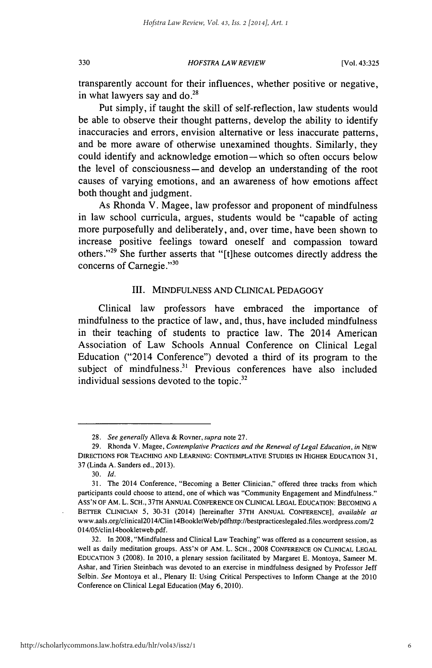*HOFSTRA LAW REVIEW*

transparently account for their influences, whether positive or negative, in what lawyers say and do. $28$ 

Put simply, if taught the skill of self-reflection, law students would be able to observe their thought patterns, develop the ability to identify inaccuracies and errors, envision alternative or less inaccurate patterns, and be more aware of otherwise unexamined thoughts. Similarly, they could identify and acknowledge emotion-which so often occurs below the level of consciousness-and develop an understanding of the root causes of varying emotions, and an awareness of how emotions affect both thought and judgment.

As Rhonda V. Magee, law professor and proponent of mindfulness in law school curricula, argues, students would be "capable of acting more purposefully and deliberately, and, over time, have been shown to increase positive feelings toward oneself and compassion toward others."<sup>29</sup> She further asserts that "[t]hese outcomes directly address the concerns of Carnegie."30

## III. MINDFULNESS AND CLINICAL PEDAGOGY

Clinical law professors have embraced the importance of mindfulness to the practice of law, and, thus, have included mindfulness in their teaching of students to practice law. The 2014 American Association of Law Schools Annual Conference on Clinical Legal Education ("2014 Conference") devoted a third of its program to the subiect of mindfulness.<sup>31</sup> Previous conferences have also included individual sessions devoted to the topic.<sup>32</sup>

330

<sup>28.</sup> See *generally* Alleva & Rovner, supra note 27.

<sup>29.</sup> Rhonda V. Magee, *Contemplative Practices and the Renewal of Legal Education, in* NEW DIRECTIONS FOR TEACHING **AND** LEARNING: **CONTEMPLATIVE** STUDIES IN HIGHER EDUCATION 31, 37 (Linda A. Sanders ed., 2013).

<sup>30.</sup> *Id.*

<sup>31.</sup> The 2014 Conference, "Becoming a Better Clinician," offered three tracks from which participants could choose to attend, one of which was "Community Engagement and Mindfulness." ASS'N OF AM. L. SCH., 37TH ANNUAL CONFERENCE ON CLINICAL LEGAL EDUCATION: BECOMING A BETTER CLINICIAN 5, 30-31 (2014) [hereinafter 37TH ANNUAL CONFERENCE], *available at* www.aals.org/clinical20l4/Clinl4BookletWeb/pdfhttp://bestpracticeslegaled.files.wordpress.com/2 **0** 14/05/clinl4bookletweb.pdf.

<sup>32.</sup> In 2008, "Mindfulness and Clinical Law Teaching" was offered as a concurrent session, as well as daily meditation groups. ASS'N OF AM. L. SCH., 2008 CONFERENCE ON CLINICAL LEGAL EDUCATION 3 (2008). In 2010, a plenary session facilitated by Margaret E. Montoya, Sameer M. Ashar, and Tirien Steinbach was devoted to an exercise in mindfulness designed by Professor Jeff Selbin. *See* Montoya et al., Plenary II: Using Critical Perspectives to Inform Change at the 2010 Conference on Clinical Legal Education (May 6, 2010).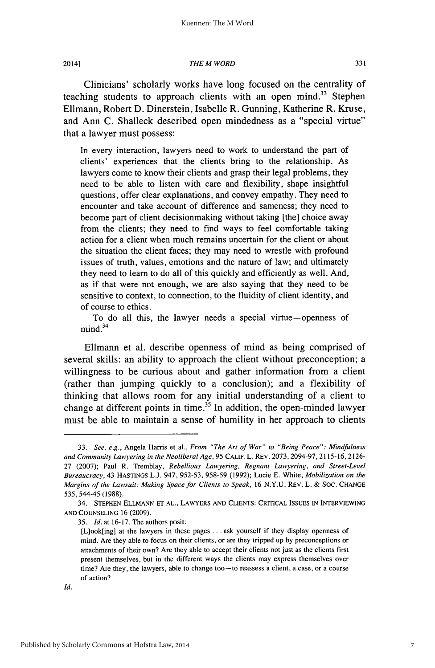20141

#### *THE M WORD*

Clinicians' scholarly works have long focused on the centrality of teaching students to approach clients with an open mind.<sup>33</sup> Stephen Ellmann, Robert D. Dinerstein, Isabelle R. Gunning, Katherine R. Kruse, and Ann C. Shalleck described open mindedness as a "special virtue" that a lawyer must possess:

In every interaction, lawyers need to work to understand the part of clients' experiences that the clients bring to the relationship. As lawyers come to know their clients and grasp their legal problems, they need to be able to listen with care and flexibility, shape insightful questions, offer clear explanations, and convey empathy. They need to encounter and take account of difference and sameness; they need to become part of client decisionmaking without taking [the] choice away from the clients; they need to find ways to feel comfortable taking action for a client when much remains uncertain for the client or about the situation the client faces; they may need to wrestle with profound issues of truth, values, emotions and the nature of law; and ultimately they need to learn to do all of this quickly and efficiently as well. And, as if that were not enough, we are also saying that they need to be sensitive to context, to connection, to the fluidity of client identity, and of course to ethics.

To do all this, the lawyer needs a special virtue-openness of  $mind.<sup>34</sup>$ 

Ellmann et al. describe openness of mind as being comprised of several skills: an ability to approach the client without preconception; a willingness to be curious about and gather information from a client (rather than jumping quickly to a conclusion); and a flexibility of thinking that allows room for any initial understanding of a client to change at different points in time.<sup>35</sup> In addition, the open-minded lawyer must be able to maintain a sense of humility in her approach to clients

<sup>33.</sup> *See, e.g.,* Angela Harris et al., *From "The Art of War" to "Being Peace": Mindfulness and Community Lawyering in the Neoliberal Age,* **95** CALIF. L. REV. 2073, 2094-97, 21 15-16, 2126- 27 (2007); Paul R. Tremblay, Rebellious Lawyering, Regnant Lawyering, and Street-Level Bureaucracy, 43 HASTINGS **LJ.** 947, 952-53, 958-59 (1992); Lucie E. White, Mobilization on the *Margins of the Lawsuit: Making Space for Clients to Speak, 16 N.Y.U. REV. L. & SOC. CHANGE* 535, 544-45 (1988).

<sup>34.</sup> STEPHEN **ELLMANN** ET AL., LAWYERS AND CLIENTS: CRITICAL ISSUES IN INTERVIEWING AND COUNSELING 16 (2009).

<sup>35.</sup> *Id.* at 16-17. The authors posit:

<sup>[</sup>Llook[ing] at the lawyers in these pages **...** ask yourself if they display openness of mind. Are they able to focus on their clients, or are they tripped up by preconceptions or attachments of their own? Are they able to accept their clients not just as the clients first present themselves, but in the different ways the clients may express themselves over time? Are they, the lawyers, able to change too-to reassess a client, a case, or a course of action?

 $Id.$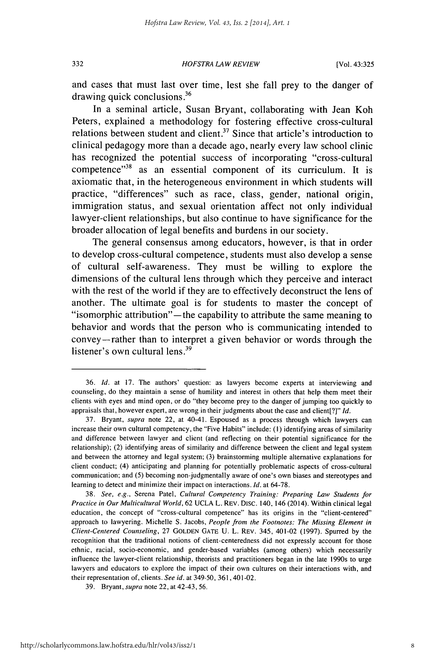*HOFSTRA LAW* REVIEW **332** [Vol. 43:325

and cases that must last over time, lest she fall prey to the danger of drawing quick conclusions.<sup>36</sup>

In a seminal article, Susan Bryant, collaborating with Jean Koh Peters, explained a methodology for fostering effective cross-cultural relations between student and client.<sup>37</sup> Since that article's introduction to clinical pedagogy more than a decade ago, nearly every law school clinic has recognized the potential success of incorporating "cross-cultural competence"<sup>38</sup> as an essential component of its curriculum. It is axiomatic that, in the heterogeneous environment in which students will practice, "differences" such as race, class, gender, national origin, immigration status, and sexual orientation affect not only individual lawyer-client relationships, but also continue to have significance for the broader allocation of legal benefits and burdens in our society.

The general consensus among educators, however, is that in order to develop cross-cultural competence, students must also develop a sense of cultural self-awareness. They must be willing to explore the dimensions of the cultural lens through which they perceive and interact with the rest of the world if they are to effectively deconstruct the lens of another. The ultimate goal is for students to master the concept of "isomorphic attribution"— the capability to attribute the same meaning to behavior and words that the person who is communicating intended to convey-rather than to interpret a given behavior or words through the listener's own cultural lens.<sup>39</sup>

<sup>36.</sup> **Id.** at 17. The authors' question: as lawyers become experts at interviewing and counseling, do they maintain a sense of humility and interest in others that help them meet their clients with eyes and mind open, or do "they become prey to the danger of jumping too quickly to appraisals that, however expert, are wrong in their judgments about the case and client[?]" **Id.**

<sup>37.</sup> Bryant, supra note 22, at 40-41. Espoused as a process through which lawyers can increase their own cultural competency, the "Five Habits" include: **(1)** identifying areas of similarity and difference between lawyer and client (and reflecting on their potential significance for the relationship); (2) identifying areas of similarity and difference between the client and legal system and between the attorney and legal system; (3) brainstorming multiple alternative explanations for client conduct; (4) anticipating and planning for potentially problematic aspects of cross-cultural communication; and (5) becoming non-judgmentally aware of one's own biases and stereotypes and learning to detect and minimize their impact on interactions. **Id.** at 64-78.

<sup>38.</sup> See, e.g., Serena Patel, Cultural Competency *Training: Preparing Law Students for* Practice in Our Multicultural World, 62 UCLA L. REV. Disc. 140, 146 (2014). Within clinical legal education, the concept of "cross-cultural competence" has its origins in the "client-centered" approach to lawyering. Michelle S. Jacobs, People from the Footnotes: The Missing Element in Client-Centered Counseling, 27 **GOLDEN GATE** U. L. REV. 345, 401-02 (1997). Spurred by the recognition that the traditional notions of client-centeredness did not expressly account for those ethnic, racial, socio-economic, and gender-based variables (among others) which necessarily influence the lawyer-client relationship, theorists and practitioners began in the late 1990s to urge lawyers and educators to explore the impact of their own cultures on their interactions with, and their representation of, clients. See id. at 349-50, 361,401-02.

<sup>39.</sup> Bryant, supra note 22, at 42-43, 56.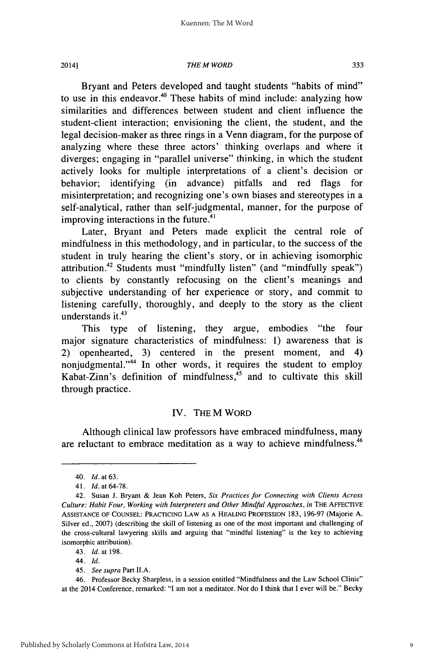Published by Scholarly Commons at Hofstra Law, 2014

2014]

#### *THE M WORD*

Bryant and Peters developed and taught students "habits of mind" to use in this endeavor.<sup>40</sup> These habits of mind include: analyzing how similarities and differences between student and client influence the student-client interaction; envisioning the client, the student, and the legal decision-maker as three rings in a Venn diagram, for the purpose of analyzing where these three actors' thinking overlaps and where it diverges; engaging in "parallel universe" thinking, in which the student actively looks for multiple interpretations of a client's decision or behavior; identifying (in advance) pitfalls and red flags for misinterpretation; and recognizing one's own biases and stereotypes in a self-analytical, rather than self-judgmental, manner, for the purpose of improving interactions in the future.<sup>41</sup>

Later, Bryant and Peters made explicit the central role of mindfulness in this methodology, and in particular, to the success of the student in truly hearing the client's story, or in achieving isomorphic attribution.<sup>42</sup> Students must "mindfully listen" (and "mindfully speak") to clients by constantly refocusing on the client's meanings and subjective understanding of her experience or story, and commit to listening carefully, thoroughly, and deeply to the story as the client understands it. $43$ 

This type of listening, they argue, embodies "the four major signature characteristics of mindfulness: 1) awareness that is 2) openhearted, 3) centered in the present moment, and 4) nonjudgmental."<sup>44</sup> In other words, it requires the student to employ Kabat-Zinn's definition of mindfulness, $45$  and to cultivate this skill through practice.

#### IV. THEM WORD

Although clinical law professors have embraced mindfulness, many are reluctant to embrace meditation as a way to achieve mindfulness.<sup>46</sup>

45. *See supra* Part **II.A.**

<sup>40.</sup> *Id.* at 63.

<sup>41.</sup> Id.at64-78.

<sup>42.</sup> Susan J. Bryant & Jean Koh Peters, *Six Practices for Connecting with Clients Across Culture: Habit Four, Working with Interpreters and Other Mindful Approaches, in* THE AFFECTIVE **ASSISTANCE** OF **COUNSEL:** PRACTICING LAW **AS A HEALING PROFESSION 183,** 196-97 (Majorie A. Silver ed., 2007) (describing the skill of listening as one of the most important and challenging of the cross-cultural lawyering skills and arguing that "mindful listening" is the key to achieving isomorphic attribution).

<sup>43.</sup> *Id.* at 198.

<sup>44.</sup> *Id.*

<sup>46.</sup> Professor Becky Sharpless, in a session entitled "Mindfulness and the Law School Clinic" at the 2014 Conference, remarked: "I am not a meditator. Nor do I think that I ever will be." Becky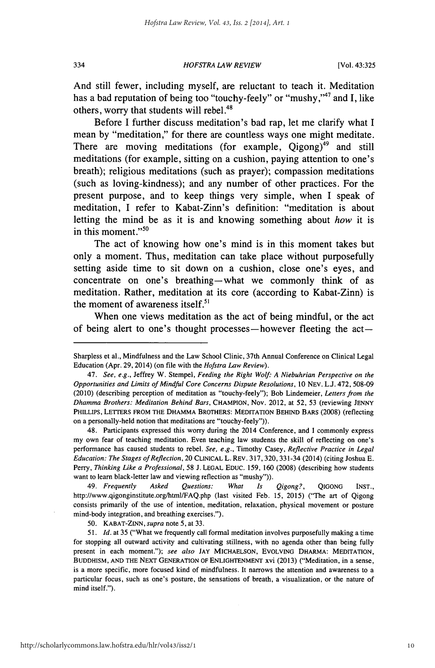*HOFSTRA LAW REVIEW*

And still fewer, including myself, are reluctant to teach it. Meditation has a bad reputation of being too "touchy-feely" or "mushy,"<sup>47</sup> and **I**, like others, worry that students will rebel.<sup>48</sup>

Before I further discuss meditation's bad rap, let me clarify what I mean **by** "meditation," for there are countless ways one might meditate. There are moving meditations (for example,  $\text{Oigong}^{49}$  and still meditations (for example, sitting on a cushion, paying attention to one's breath); religious meditations (such as prayer); compassion meditations (such as loving-kindness); and any number of other practices. For the present purpose, and to keep things very simple, when **I** speak of meditation, I refer to Kabat-Zinn's definition: "meditation is about letting the mind be as it is and knowing something about *how* it is in this moment."<sup>50</sup>

The act of knowing how one's mind is in this moment takes but only a moment. Thus, meditation can take place without purposefully setting aside time to sit down on a cushion, close one's eyes, and concentrate on one's breathing-what we commonly think of as meditation. Rather, meditation at its core (according to Kabat-Zinn) is the moment of awareness itself.<sup>51</sup>

When one views meditation as the act of being mindful, or the act of being alert to one's thought processes—however fleeting the  $act-$ 

48. Participants expressed this worry during the 2014 Conference, and I commonly express my own fear of teaching meditation. Even teaching law students the skill of reflecting on one's performance has caused students to rebel. *See, e.g.,* Timothy Casey, *Reflective Practice in Legal Education: The Stages of Reflection,* 20 CLINICAL L. REv. 317, 320, 331-34 (2014) (citing Joshua E. Perry, *Thinking Like a Professional,* 58 J. LEGAL EDUC. 159, 160 (2008) (describing how students want to learn black-letter law and viewing reflection as "mushy")).

49. *Frequently Asked Questions: What Is Qigong?,* QIGONG INST., http://www.qigonginstitute.org/html/FAQ.php (last visited Feb. 15, 2015) ("The art of Qigong consists primarily of the use of intention, meditation, relaxation, physical movement or posture mind-body integration, and breathing exercises.").

50. KABAT-ZINN, *supra* note 5, at 33.

51. *Id.* at 35 ("What we frequently call formal meditation involves purposefully making a time for stopping all outward activity and cultivating stillness, with no agenda other than being fully present in each moment."); *see also* JAY MICHAELSON, EVOLVING DHARMA: MEDITATION, BUDDHISM, AND THE NEXT GENERATION OF ENLIGHTENMENT xvi (2013) ("Meditation, in a sense, is a more specific, more focused kind of mindfulness. It narrows the attention and awareness to a particular focus, such as one's posture, the sensations of breath, a visualization, or the nature of mind itself.").

334

Sharpless et al., Mindfulness and the Law School Clinic, 37th Annual Conference on Clinical Legal Education (Apr. 29, 2014) (on file with the *Hofstra Law Review).*

<sup>47.</sup> *See, e.g.,* Jeffrey W. Stempel, *Feeding the Right Wolf: A Niebuhrian Perspective on the Opportunities and Limits of Mindful Core Concerns Dispute Resolutions,* 10 NEV. **LJ.** 472, 508-09 (2010) (describing perception of meditation as "touchy-feely"); Bob Lindemeier, *Letters from the Dhamma Brothers: Meditation Behind Bars,* CHAMPION, Nov. 2012, at 52, 53 (reviewing JENNY PHILLIPS, LETrERS FROM THE DHAMMA BROTHERS: MEDITATION BEHIND BARS (2008) (reflecting on a personally-held notion that meditations are "touchy-feely")).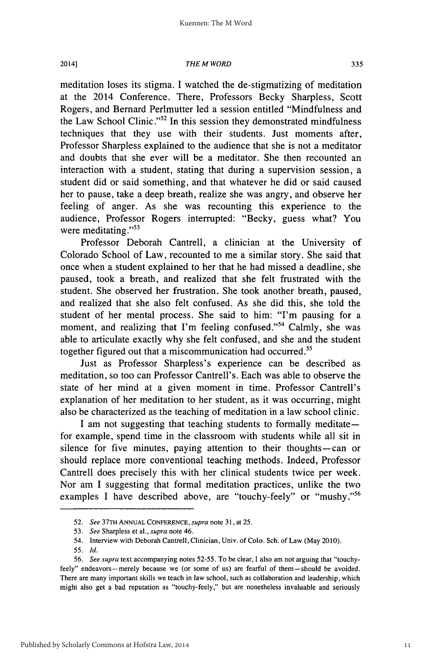2014]

#### *THE M WORD*

335

meditation loses its stigma. I watched the de-stigmatizing of meditation at the 2014 Conference. There, Professors Becky Sharpless, Scott Rogers, and Bernard Perlmutter led a session entitled "Mindfulness and the Law School Clinic."<sup>52</sup> In this session they demonstrated mindfulness techniques that they use with their students. Just moments after, Professor Sharpless explained to the audience that she is not a meditator and doubts that she ever will be a meditator. She then recounted an interaction with a student, stating that during a supervision session, a student did or said something, and that whatever he did or said caused her to pause, take a deep breath, realize she was angry, and observe her feeling of anger. As she was recounting this experience to the audience, Professor Rogers interrupted: "Becky, guess what? You were meditating."<sup>53</sup>

Professor Deborah Cantrell, a clinician at the University of Colorado School of Law, recounted to me a similar story. She said that once when a student explained to her that he had missed a deadline, she paused, took a breath, and realized that she felt frustrated with the student. She observed her frustration. She took another breath, paused, and realized that she also felt confused. As she did this, she told the student of her mental process. She said to him: "I'm pausing for a moment, and realizing that I'm feeling confused."<sup>54</sup> Calmly, she was able to articulate exactly why she felt confused, and she and the student together figured out that a miscommunication had occurred.

Just as Professor Sharpless's experience can be described as meditation, so too can Professor Cantrell's. Each was able to observe the state of her mind at a given moment in time. Professor Cantrell's explanation of her meditation to her student, as it was occurring, might also be characterized as the teaching of meditation in a law school clinic.

I am not suggesting that teaching students to formally meditate for example, spend time in the classroom with students while all sit in silence for five minutes, paying attention to their thoughts-can or should replace more conventional teaching methods. Indeed, Professor Cantrell does precisely this with her clinical students twice per week. Nor am I suggesting that formal meditation practices, unlike the two examples I have described above, are "touchy-feely" or "mushy."<sup>56</sup>

<sup>52.</sup> *See* 37TH ANNUAL CONFERENCE, *supra* note 31, at 25.

<sup>53.</sup> *See* Sharpless et al., *supra* note 46.

<sup>54.</sup> Interview with Deborah Cantrell, Clinician, Univ. of Colo. Sch. of Law (May 2010).

<sup>55.</sup> *Id.*

<sup>56.</sup> *See* supra text accompanying notes 52-55. To be clear, I also am not arguing that "touchyfeely" endeavors-merely because we (or some of us) are fearful of them-should be avoided. There are many important skills we teach in law school, such as collaboration and leadership, which might also get a bad reputation as "touchy-feely," but are nonetheless invaluable and seriously